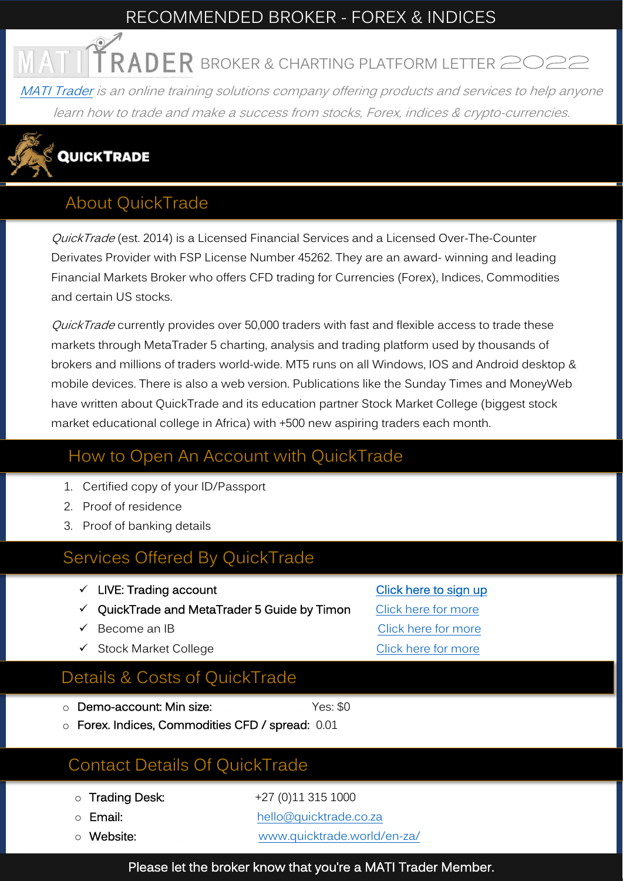#### RECOMMENDED BROKER - FOREX & INDICES

 $\overline{R}$  **RADER** broker & charting platform letter 202

[MATI Trader](https://www.timonandmati.com/) is an online training solutions company offering products and services to help anyone learn how to trade and make a success from stocks, Forex, indices & crypto-currencies.



#### About QuickTrade

QuickTrade (est. 2014) is a Licensed Financial Services and a Licensed Over-The-Counter Derivates Provider with FSP License Number 45262. They are an award- winning and leading Financial Markets Broker who offers CFD trading for Currencies (Forex), Indices, Commodities and certain US stocks.

QuickTrade currently provides over 50,000 traders with fast and flexible access to trade these markets through MetaTrader 5 charting, analysis and trading platform used by thousands of brokers and millions of traders world-wide. MT5 runs on all Windows, IOS and Android desktop & mobile devices. There is also a web version. Publications like the Sunday Times and MoneyWeb have written about QuickTrade and its education partner Stock Market College (biggest stock market educational college in Africa) with +500 new aspiring traders each month.

#### How to Open An Account with QuickTrade

- 1. Certified copy of your ID/Passport
- 2. Proof of residence
- 3. Proof of banking details

#### Services Offered By QuickTrade

- ✓ LIVE: Trading account [Click here to sign up](https://portal.quicktrade.co.za/links/go/8924)
- ✓ QuickTrade and MetaTrader 5 Guide by Timon [Click here for more](https://www.timonandmati.com/wp-content/uploads/2022/03/QuickTradeGuideByTimonAndMATITrader-PREMIUM.pdf)
- 
- ✓ Stock Market College [Click here for more](https://stockmarketcollege.com/)

#### Details & Costs of QuickTrade

- **Demo-account: Min size:** Yes: \$0
- o Forex. Indices, Commodities CFD / spread: 0.01

#### Contact Details Of QuickTrade

- $\circ$  Trading Desk:  $+27(0)113151000$
- 
- 

o **Email:** [hello@quicktrade.co.za](mailto:hello@quicktrade.co.za) o Website: [www.quicktrade.world/en-za/](http://www.quicktrade.world/en-za/)

✓ Become an IB [Click here for more](https://www.quicktrade.world/ib-page/)

Please let the broker know that you're a MATI Trader Member.

- 
-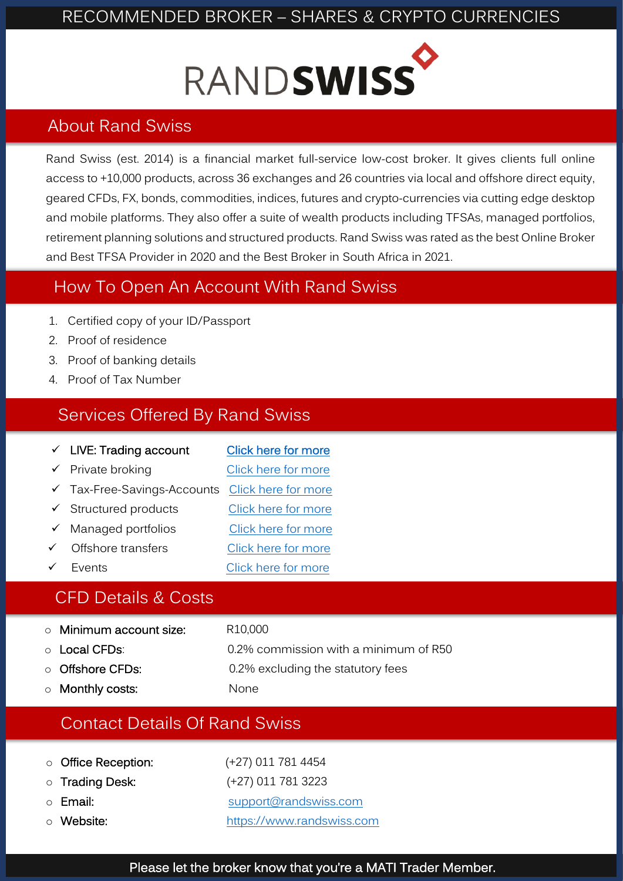# RANDSWISS

#### About Rand Swiss

Rand Swiss (est. 2014) is a financial market full-service low-cost broker. It gives clients full online access to +10,000 products, across 36 exchanges and 26 countries via local and offshore direct equity, geared CFDs, FX, bonds, commodities, indices, futures and crypto-currencies via cutting edge desktop and mobile platforms. They also offer a suite of wealth products including TFSAs, managed portfolios, retirement planning solutions and structured products. Rand Swiss was rated as the best Online Broker and Best TFSA Provider in 2020 and the Best Broker in South Africa in 2021.

#### How To Open An Account With Rand Swiss

- 1. Certified copy of your ID/Passport
- 2. Proof of residence
- 3. Proof of banking details
- 4. Proof of Tax Number

#### Services Offered By Rand Swiss

| $\checkmark$ LIVE: Trading account     | <b>Click here for more</b> |
|----------------------------------------|----------------------------|
| $\checkmark$ Private broking           | Click here for more        |
| $\checkmark$ Tax-Free-Savings-Accounts | Click here for more        |
| $\checkmark$ Structured products       | Click here for more        |
| $\checkmark$ Managed portfolios        | Click here for more        |
| Offshore transfers                     | Click here for more        |
| <b>Fvents</b>                          | Click here for more        |
|                                        |                            |

#### CFD Details & Costs

- Minimum account size: R10,000
- 
- o Local CFDs: 0.2% commission with a minimum of R50 o Offshore CFDs: 0.2% excluding the statutory fees
- o Monthly costs: None
- 

#### Contact Details Of Rand Swiss

- o Office Reception: (+27) 011 781 4454
- 
- 
- 

o Trading Desk: (+27) 011 781 3223 o Email: [support@randswiss.com](mailto:support@randswiss.com) o Website: [https://www.randswiss.com](https://www.randswiss.com/)

#### Please let the broker know that you're a MATI Trader Member.